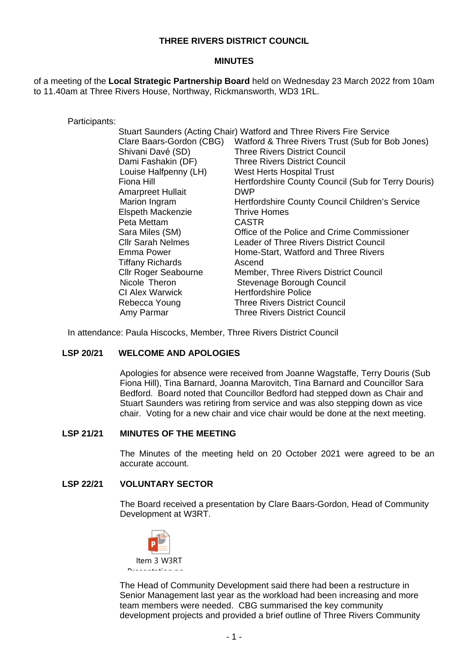# **THREE RIVERS DISTRICT COUNCIL**

### **MINUTES**

of a meeting of the **Local Strategic Partnership Board** held on Wednesday 23 March 2022 from 10am to 11.40am at Three Rivers House, Northway, Rickmansworth, WD3 1RL.

Participants:

| Stuart Saunders (Acting Chair) Watford and Three Rivers Fire Service |                                                     |
|----------------------------------------------------------------------|-----------------------------------------------------|
| Clare Baars-Gordon (CBG)                                             | Watford & Three Rivers Trust (Sub for Bob Jones)    |
| Shivani Davé (SD)                                                    | <b>Three Rivers District Council</b>                |
| Dami Fashakin (DF)                                                   | <b>Three Rivers District Council</b>                |
| Louise Halfpenny (LH)                                                | West Herts Hospital Trust                           |
| Fiona Hill                                                           | Hertfordshire County Council (Sub for Terry Douris) |
| Amarpreet Hullait                                                    | <b>DWP</b>                                          |
| Marion Ingram                                                        | Hertfordshire County Council Children's Service     |
| Elspeth Mackenzie                                                    | <b>Thrive Homes</b>                                 |
| Peta Mettam                                                          | <b>CASTR</b>                                        |
| Sara Miles (SM)                                                      | Office of the Police and Crime Commissioner         |
| <b>CIIr Sarah Nelmes</b>                                             | Leader of Three Rivers District Council             |
| Emma Power                                                           | Home-Start, Watford and Three Rivers                |
| <b>Tiffany Richards</b>                                              | Ascend                                              |
| <b>Cllr Roger Seabourne</b>                                          | <b>Member, Three Rivers District Council</b>        |
| Nicole Theron                                                        | Stevenage Borough Council                           |
| <b>CI Alex Warwick</b>                                               | <b>Hertfordshire Police</b>                         |
| Rebecca Young                                                        | <b>Three Rivers District Council</b>                |
| Amy Parmar                                                           | <b>Three Rivers District Council</b>                |

In attendance: Paula Hiscocks, Member, Three Rivers District Council

## **LSP 20/21 WELCOME AND APOLOGIES**

Apologies for absence were received from Joanne Wagstaffe, Terry Douris (Sub Fiona Hill), Tina Barnard, Joanna Marovitch, Tina Barnard and Councillor Sara Bedford. Board noted that Councillor Bedford had stepped down as Chair and Stuart Saunders was retiring from service and was also stepping down as vice chair. Voting for a new chair and vice chair would be done at the next meeting.

### **LSP 21/21 MINUTES OF THE MEETING**

The Minutes of the meeting held on 20 October 2021 were agreed to be an accurate account.

## **LSP 22/21 VOLUNTARY SECTOR**

The Board received a presentation by Clare Baars-Gordon, Head of Community Development at W3RT.



The Head of Community Development said there had been a restructure in Senior Management last year as the workload had been increasing and more team members were needed. CBG summarised the key community development projects and provided a brief outline of Three Rivers Community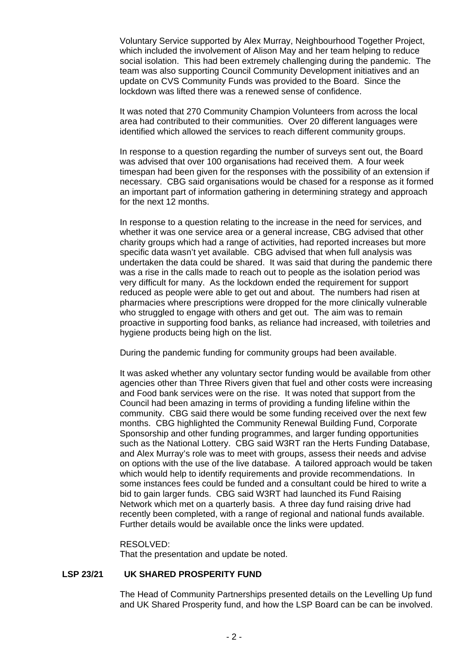Voluntary Service supported by Alex Murray, Neighbourhood Together Project, which included the involvement of Alison May and her team helping to reduce social isolation. This had been extremely challenging during the pandemic. The team was also supporting Council Community Development initiatives and an update on CVS Community Funds was provided to the Board. Since the lockdown was lifted there was a renewed sense of confidence.

It was noted that 270 Community Champion Volunteers from across the local area had contributed to their communities. Over 20 different languages were identified which allowed the services to reach different community groups.

In response to a question regarding the number of surveys sent out, the Board was advised that over 100 organisations had received them. A four week timespan had been given for the responses with the possibility of an extension if necessary. CBG said organisations would be chased for a response as it formed an important part of information gathering in determining strategy and approach for the next 12 months.

In response to a question relating to the increase in the need for services, and whether it was one service area or a general increase, CBG advised that other charity groups which had a range of activities, had reported increases but more specific data wasn't yet available. CBG advised that when full analysis was undertaken the data could be shared. It was said that during the pandemic there was a rise in the calls made to reach out to people as the isolation period was very difficult for many. As the lockdown ended the requirement for support reduced as people were able to get out and about. The numbers had risen at pharmacies where prescriptions were dropped for the more clinically vulnerable who struggled to engage with others and get out. The aim was to remain proactive in supporting food banks, as reliance had increased, with toiletries and hygiene products being high on the list.

During the pandemic funding for community groups had been available.

It was asked whether any voluntary sector funding would be available from other agencies other than Three Rivers given that fuel and other costs were increasing and Food bank services were on the rise. It was noted that support from the Council had been amazing in terms of providing a funding lifeline within the community. CBG said there would be some funding received over the next few months. CBG highlighted the Community Renewal Building Fund, Corporate Sponsorship and other funding programmes, and larger funding opportunities such as the National Lottery. CBG said W3RT ran the Herts Funding Database, and Alex Murray's role was to meet with groups, assess their needs and advise on options with the use of the live database. A tailored approach would be taken which would help to identify requirements and provide recommendations. In some instances fees could be funded and a consultant could be hired to write a bid to gain larger funds. CBG said W3RT had launched its Fund Raising Network which met on a quarterly basis. A three day fund raising drive had recently been completed, with a range of regional and national funds available. Further details would be available once the links were updated.

#### RESOLVED:

That the presentation and update be noted.

## **LSP 23/21 UK SHARED PROSPERITY FUND**

The Head of Community Partnerships presented details on the Levelling Up fund and UK Shared Prosperity fund, and how the LSP Board can be can be involved.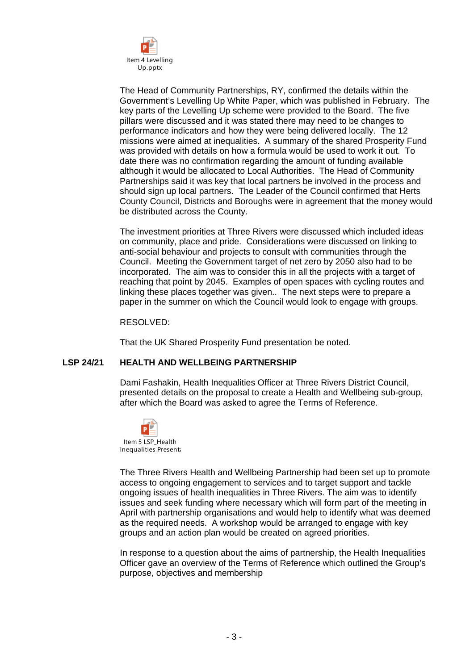

The Head of Community Partnerships, RY, confirmed the details within the Government's Levelling Up White Paper, which was published in February. The key parts of the Levelling Up scheme were provided to the Board. The five pillars were discussed and it was stated there may need to be changes to performance indicators and how they were being delivered locally. The 12 missions were aimed at inequalities. A summary of the shared Prosperity Fund was provided with details on how a formula would be used to work it out. To date there was no confirmation regarding the amount of funding available although it would be allocated to Local Authorities. The Head of Community Partnerships said it was key that local partners be involved in the process and should sign up local partners. The Leader of the Council confirmed that Herts County Council, Districts and Boroughs were in agreement that the money would be distributed across the County.

The investment priorities at Three Rivers were discussed which included ideas on community, place and pride. Considerations were discussed on linking to anti-social behaviour and projects to consult with communities through the Council. Meeting the Government target of net zero by 2050 also had to be incorporated. The aim was to consider this in all the projects with a target of reaching that point by 2045. Examples of open spaces with cycling routes and linking these places together was given.. The next steps were to prepare a paper in the summer on which the Council would look to engage with groups.

### RESOLVED:

That the UK Shared Prosperity Fund presentation be noted.

## **LSP 24/21 HEALTH AND WELLBEING PARTNERSHIP**

Dami Fashakin, Health Inequalities Officer at Three Rivers District Council, presented details on the proposal to create a Health and Wellbeing sub-group, after which the Board was asked to agree the Terms of Reference.



The Three Rivers Health and Wellbeing Partnership had been set up to promote access to ongoing engagement to services and to target support and tackle ongoing issues of health inequalities in Three Rivers. The aim was to identify issues and seek funding where necessary which will form part of the meeting in April with partnership organisations and would help to identify what was deemed as the required needs. A workshop would be arranged to engage with key groups and an action plan would be created on agreed priorities.

In response to a question about the aims of partnership, the Health Inequalities Officer gave an overview of the Terms of Reference which outlined the Group's purpose, objectives and membership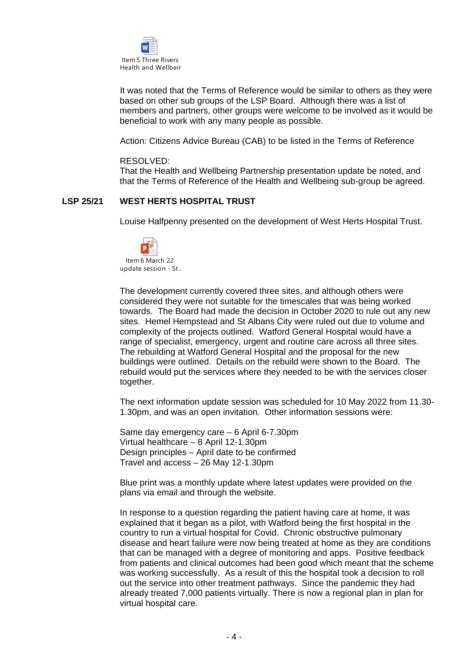

It was noted that the Terms of Reference would be similar to others as they were based on other sub groups of the LSP Board. Although there was a list of members and partners, other groups were welcome to be involved as it would be beneficial to work with any many people as possible.

Action: Citizens Advice Bureau (CAB) to be listed in the Terms of Reference

#### RESOLVED:

That the Health and Wellbeing Partnership presentation update be noted, and that the Terms of Reference of the Health and Wellbeing sub-group be agreed.

#### **LSP 25/21 WEST HERTS HOSPITAL TRUST**

Louise Halfpenny presented on the development of West Herts Hospital Trust.



The development currently covered three sites, and although others were considered they were not suitable for the timescales that was being worked towards. The Board had made the decision in October 2020 to rule out any new sites. Hemel Hempstead and St Albans City were ruled out due to volume and complexity of the projects outlined. Watford General Hospital would have a range of specialist, emergency, urgent and routine care across all three sites. The rebuilding at Watford General Hospital and the proposal for the new buildings were outlined. Details on the rebuild were shown to the Board. The rebuild would put the services where they needed to be with the services closer together.

The next information update session was scheduled for 10 May 2022 from 11.30- 1.30pm, and was an open invitation. Other information sessions were:

Same day emergency care – 6 April 6-7.30pm Virtual healthcare – 8 April 12-1.30pm Design principles – April date to be confirmed Travel and access – 26 May 12-1.30pm

Blue print was a monthly update where latest updates were provided on the plans via email and through the website.

In response to a question regarding the patient having care at home, it was explained that it began as a pilot, with Watford being the first hospital in the country to run a virtual hospital for Covid. Chronic obstructive pulmonary disease and heart failure were now being treated at home as they are conditions that can be managed with a degree of monitoring and apps. Positive feedback from patients and clinical outcomes had been good which meant that the scheme was working successfully. As a result of this the hospital took a decision to roll out the service into other treatment pathways. Since the pandemic they had already treated 7,000 patients virtually. There is now a regional plan in plan for virtual hospital care.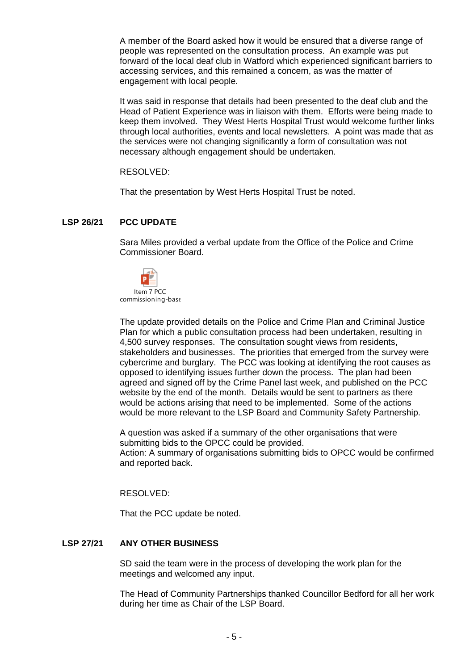A member of the Board asked how it would be ensured that a diverse range of people was represented on the consultation process. An example was put forward of the local deaf club in Watford which experienced significant barriers to accessing services, and this remained a concern, as was the matter of engagement with local people.

It was said in response that details had been presented to the deaf club and the Head of Patient Experience was in liaison with them. Efforts were being made to keep them involved. They West Herts Hospital Trust would welcome further links through local authorities, events and local newsletters. A point was made that as the services were not changing significantly a form of consultation was not necessary although engagement should be undertaken.

RESOLVED:

That the presentation by West Herts Hospital Trust be noted.

# **LSP 26/21 PCC UPDATE**

Sara Miles provided a verbal update from the Office of the Police and Crime Commissioner Board.



The update provided details on the Police and Crime Plan and Criminal Justice Plan for which a public consultation process had been undertaken, resulting in 4,500 survey responses. The consultation sought views from residents, stakeholders and businesses. The priorities that emerged from the survey were cybercrime and burglary. The PCC was looking at identifying the root causes as opposed to identifying issues further down the process. The plan had been agreed and signed off by the Crime Panel last week, and published on the PCC website by the end of the month. Details would be sent to partners as there would be actions arising that need to be implemented. Some of the actions would be more relevant to the LSP Board and Community Safety Partnership.

A question was asked if a summary of the other organisations that were submitting bids to the OPCC could be provided. Action: A summary of organisations submitting bids to OPCC would be confirmed and reported back.

RESOLVED:

That the PCC update be noted.

## **LSP 27/21 ANY OTHER BUSINESS**

SD said the team were in the process of developing the work plan for the meetings and welcomed any input.

The Head of Community Partnerships thanked Councillor Bedford for all her work during her time as Chair of the LSP Board.